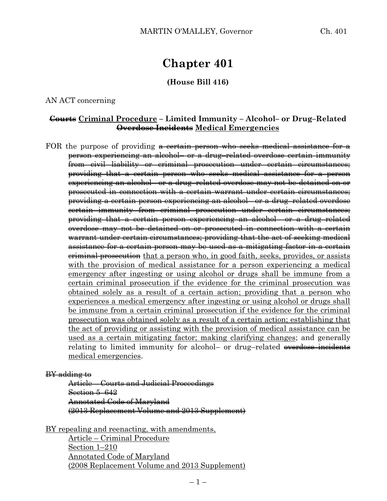# **Chapter 401**

# **(House Bill 416)**

AN ACT concerning

#### **Courts Criminal Procedure – Limited Immunity – Alcohol– or Drug–Related Overdose Incidents Medical Emergencies**

FOR the purpose of providing a certain person who seeks medical assistance for a person experiencing an alcohol– or a drug–related overdose certain immunity from civil liability or criminal prosecution under certain circumstances; providing that a certain person who seeks medical assistance for a person experiencing an alcohol– or a drug–related overdose may not be detained on or prosecuted in connection with a certain warrant under certain circumstances; providing a certain person experiencing an alcohol– or a drug–related overdose certain immunity from criminal prosecution under certain circumstances; providing that a certain person experiencing an alcohol– or a drug–related overdose may not be detained on or prosecuted in connection with a certain warrant under certain circumstances; providing that the act of seeking medical assistance for a certain person may be used as a mitigating factor in a certain eriminal prosecution that a person who, in good faith, seeks, provides, or assists with the provision of medical assistance for a person experiencing a medical emergency after ingesting or using alcohol or drugs shall be immune from a certain criminal prosecution if the evidence for the criminal prosecution was obtained solely as a result of a certain action; providing that a person who experiences a medical emergency after ingesting or using alcohol or drugs shall be immune from a certain criminal prosecution if the evidence for the criminal prosecution was obtained solely as a result of a certain action; establishing that the act of providing or assisting with the provision of medical assistance can be used as a certain mitigating factor; making clarifying changes; and generally relating to limited immunity for alcohol– or drug–related overdose incidents medical emergencies.

#### BY adding to

Article – Courts and Judicial Proceedings Section 5–642 Annotated Code of Maryland (2013 Replacement Volume and 2013 Supplement)

BY repealing and reenacting, with amendments, Article – Criminal Procedure Section 1–210 Annotated Code of Maryland (2008 Replacement Volume and 2013 Supplement)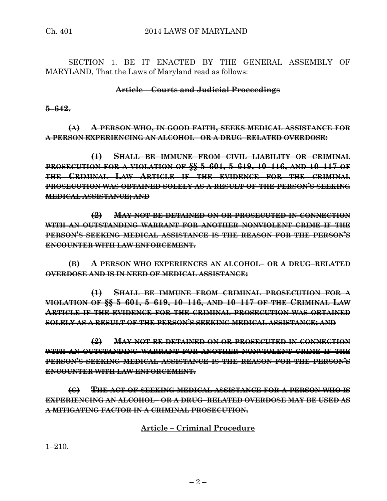SECTION 1. BE IT ENACTED BY THE GENERAL ASSEMBLY OF MARYLAND, That the Laws of Maryland read as follows:

# **Article – Courts and Judicial Proceedings**

# **5–642.**

**(A) A PERSON WHO, IN GOOD FAITH, SEEKS MEDICAL ASSISTANCE FOR A PERSON EXPERIENCING AN ALCOHOL– OR A DRUG–RELATED OVERDOSE:**

**(1) SHALL BE IMMUNE FROM CIVIL LIABILITY OR CRIMINAL PROSECUTION FOR A VIOLATION OF §§ 5–601, 5–619, 10–116, AND 10–117 OF THE CRIMINAL LAW ARTICLE IF THE EVIDENCE FOR THE CRIMINAL PROSECUTION WAS OBTAINED SOLELY AS A RESULT OF THE PERSON'S SEEKING MEDICAL ASSISTANCE; AND**

**(2) MAY NOT BE DETAINED ON OR PROSECUTED IN CONNECTION WITH AN OUTSTANDING WARRANT FOR ANOTHER NONVIOLENT CRIME IF THE PERSON'S SEEKING MEDICAL ASSISTANCE IS THE REASON FOR THE PERSON'S ENCOUNTER WITH LAW ENFORCEMENT.**

**(B) A PERSON WHO EXPERIENCES AN ALCOHOL– OR A DRUG–RELATED OVERDOSE AND IS IN NEED OF MEDICAL ASSISTANCE:**

**(1) SHALL BE IMMUNE FROM CRIMINAL PROSECUTION FOR A VIOLATION OF §§ 5–601, 5–619, 10–116, AND 10–117 OF THE CRIMINAL LAW ARTICLE IF THE EVIDENCE FOR THE CRIMINAL PROSECUTION WAS OBTAINED SOLELY AS A RESULT OF THE PERSON'S SEEKING MEDICAL ASSISTANCE; AND**

**(2) MAY NOT BE DETAINED ON OR PROSECUTED IN CONNECTION WITH AN OUTSTANDING WARRANT FOR ANOTHER NONVIOLENT CRIME IF THE PERSON'S SEEKING MEDICAL ASSISTANCE IS THE REASON FOR THE PERSON'S ENCOUNTER WITH LAW ENFORCEMENT.**

**(C) THE ACT OF SEEKING MEDICAL ASSISTANCE FOR A PERSON WHO IS EXPERIENCING AN ALCOHOL– OR A DRUG–RELATED OVERDOSE MAY BE USED AS A MITIGATING FACTOR IN A CRIMINAL PROSECUTION.**

# **Article – Criminal Procedure**

1–210.